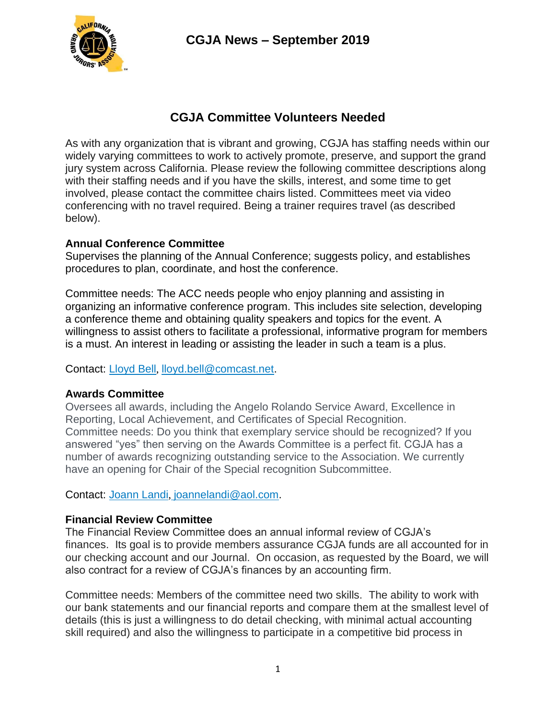

# **CGJA Committee Volunteers Needed**

As with any organization that is vibrant and growing, CGJA has staffing needs within our widely varying committees to work to actively promote, preserve, and support the grand jury system across California. Please review the following committee descriptions along with their staffing needs and if you have the skills, interest, and some time to get involved, please contact the committee chairs listed. Committees meet via video conferencing with no travel required. Being a trainer requires travel (as described below).

### **Annual Conference Committee**

Supervises the planning of the Annual Conference; suggests policy, and establishes procedures to plan, coordinate, and host the conference.

Committee needs: The ACC needs people who enjoy planning and assisting in organizing an informative conference program. This includes site selection, developing a conference theme and obtaining quality speakers and topics for the event. A willingness to assist others to facilitate a professional, informative program for members is a must. An interest in leading or assisting the leader in such a team is a plus.

Contact: [Lloyd Bell](mailto:lloyd.bell@comcast.net), [lloyd.bell@comcast.net.](mailto:lloyd.bell@comcast.net)

### **Awards Committee**

Oversees all awards, including the Angelo Rolando Service Award, Excellence in Reporting, Local Achievement, and Certificates of Special Recognition. Committee needs: Do you think that exemplary service should be recognized? If you answered "yes" then serving on the Awards Committee is a perfect fit. CGJA has a number of awards recognizing outstanding service to the Association. We currently have an opening for Chair of the Special recognition Subcommittee.

Contact: [Joann Landi](mailto:joannelandi@aol.com)[,](mailto:joannelandi@aol.com) [joannelandi@aol.com.](mailto:joannelandi@aol.com)

## **Financial Review Committee**

The Financial Review Committee does an annual informal review of CGJA's finances. Its goal is to provide members assurance CGJA funds are all accounted for in our checking account and our Journal. On occasion, as requested by the Board, we will also contract for a review of CGJA's finances by an accounting firm.

Committee needs: Members of the committee need two skills. The ability to work with our bank statements and our financial reports and compare them at the smallest level of details (this is just a willingness to do detail checking, with minimal actual accounting skill required) and also the willingness to participate in a competitive bid process in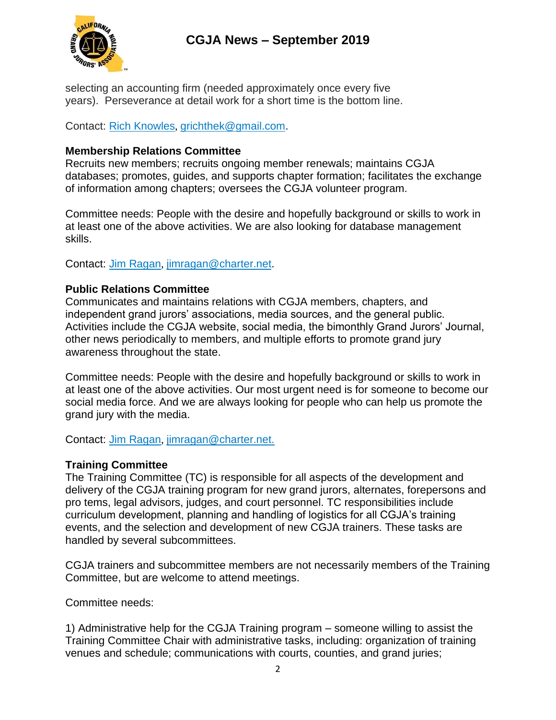

selecting an accounting firm (needed approximately once every five years). Perseverance at detail work for a short time is the bottom line.

Contact: [Rich Knowles](mailto:grichthek@gmail.com), [grichthek@gmail.com.](mailto:grichthek@gmail.com)

#### **Membership Relations Committee**

Recruits new members; recruits ongoing member renewals; maintains CGJA databases; promotes, guides, and supports chapter formation; facilitates the exchange of information among chapters; oversees the CGJA volunteer program.

Committee needs: People with the desire and hopefully background or skills to work in at least one of the above activities. We are also looking for database management skills.

Contact: [Jim Ragan](mailto:jimragan@charter.net), [jimragan@charter.net.](mailto:jimragan@charter.net)

### **Public Relations Committee**

Communicates and maintains relations with CGJA members, chapters, and independent grand jurors' associations, media sources, and the general public. Activities include the CGJA website, social media, the bimonthly Grand Jurors' Journal, other news periodically to members, and multiple efforts to promote grand jury awareness throughout the state.

Committee needs: People with the desire and hopefully background or skills to work in at least one of the above activities. Our most urgent need is for someone to become our social media force. And we are always looking for people who can help us promote the grand jury with the media.

Contact: [Jim Ragan](mailto:jimragan@charter.net), [jimragan@charter.net.](mailto:jimragan@charter.net)

#### **Training Committee**

The Training Committee (TC) is responsible for all aspects of the development and delivery of the CGJA training program for new grand jurors, alternates, forepersons and pro tems, legal advisors, judges, and court personnel. TC responsibilities include curriculum development, planning and handling of logistics for all CGJA's training events, and the selection and development of new CGJA trainers. These tasks are handled by several subcommittees.

CGJA trainers and subcommittee members are not necessarily members of the Training Committee, but are welcome to attend meetings.

Committee needs:

1) Administrative help for the CGJA Training program – someone willing to assist the Training Committee Chair with administrative tasks, including: organization of training venues and schedule; communications with courts, counties, and grand juries;